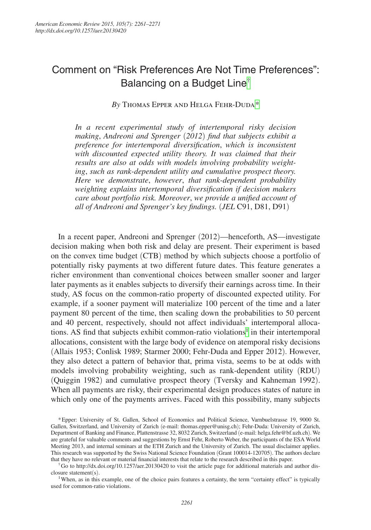# Comment on "Risk Preferences Are Not Time Preferences": Balancing on a Budget Line[†](#page-0-0)

By THOMAS EPPER AND HELGA FEHR-DUDA[\\*](#page-0-1)

*In a recent experimental study of intertemporal risky decision making*, *Andreoni and Sprenger* (*2012*) *find that subjects exhibit a preference for intertemporal diversification*, *which is inconsistent with discounted expected utility theory. It was claimed that their results are also at odds with models involving probability weighting*, *such as rank-dependent utility and cumulative prospect theory. Here we demonstrate*, *however*, *that rank-dependent probability weighting explains intertemporal diversification if decision makers care about portfolio risk. Moreover*, *we provide a unified account of all of Andreoni and Sprenger's key findings.* (*JEL* C91, D81, D91)

In a recent paper, Andreoni and Sprenger (2012)—henceforth, AS—investigate decision making when both risk and delay are present. Their experiment is based on the convex time budget (CTB) method by which subjects choose a portfolio of potentially risky payments at two different future dates. This feature generates a richer environment than conventional choices between smaller sooner and larger later payments as it enables subjects to diversify their earnings across time. In their study, AS focus on the common-ratio property of discounted expected utility. For example, if a sooner payment will materialize 100 percent of the time and a later payment 80 percent of the time, then scaling down the probabilities to 50 percent and 40 percent, respectively, should not affect individuals' intertemporal alloca-tions. AS find that subjects exhibit common-ratio violations<sup>[1](#page-0-2)</sup> in their intertemporal allocations, consistent with the large body of evidence on atemporal risky decisions (Allais 1953; Conlisk 1989; Starmer 2000; Fehr-Duda and Epper 2012). However, they also detect a pattern of behavior that, prima vista, seems to be at odds with models involving probability weighting, such as rank-dependent utility (RDU) (Quiggin 1982) and cumulative prospect theory (Tversky and Kahneman 1992). When all payments are risky, their experimental design produces states of nature in which only one of the payments arrives. Faced with this possibility, many subjects

<span id="page-0-1"></span><sup>\*</sup>Epper: University of St. Gallen, School of Economics and Political Science, Varnbuelstrasse 19, 9000 St. Gallen, Switzerland, and University of Zurich (e-mail: thomas.epper@unisg.ch); Fehr-Duda: University of Zurich, Department of Banking and Finance, Plattenstrasse 32, 8032 Zurich, Switzerland (e-mail: helga.fehr@bf.uzh.ch). We are grateful for valuable comments and suggestions by Ernst Fehr, Roberto Weber, the participants of the ESA World Meeting 2013, and internal seminars at the ETH Zurich and the University of Zurich. The usual disclaimer applies. This research was supported by the Swiss National Science Foundation (Grant 100014-120705). The authors declare that they have no relevant or material financial interests that relate to the research described in this paper

<span id="page-0-0"></span> $\ddot{\theta}$  to http://dx.doi.org/10.1257/aer.20130420 to visit the article page for additional materials and author disclosure statement(s).

<span id="page-0-2"></span><sup>&</sup>lt;sup>1</sup>When, as in this example, one of the choice pairs features a certainty, the term "certainty effect" is typically used for common-ratio violations.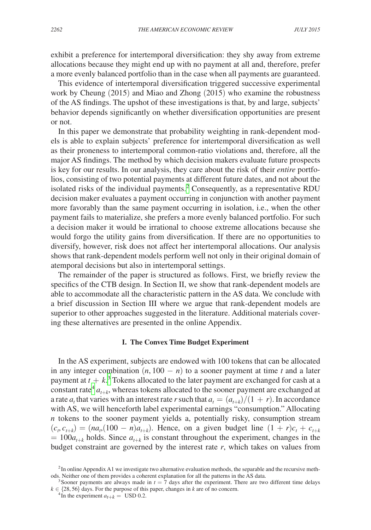exhibit a preference for intertemporal diversification: they shy away from extreme allocations because they might end up with no payment at all and, therefore, prefer a more evenly balanced portfolio than in the case when all payments are guaranteed.

This evidence of intertemporal diversification triggered successive experimental work by Cheung (2015) and Miao and Zhong (2015) who examine the robustness of the AS findings. The upshot of these investigations is that, by and large, subjects' behavior depends significantly on whether diversification opportunities are present or not.

In this paper we demonstrate that probability weighting in rank-dependent models is able to explain subjects' preference for intertemporal diversification as well as their proneness to intertemporal common-ratio violations and, therefore, all the major AS findings. The method by which decision makers evaluate future prospects is key for our results. In our analysis, they care about the risk of their *entire* portfolios, consisting of two potential payments at different future dates, and not about the isolated risks of the individual payments.<sup>[2](#page-1-0)</sup> Consequently, as a representative RDU decision maker evaluates a payment occurring in conjunction with another payment more favorably than the same payment occurring in isolation, i.e., when the other payment fails to materialize, she prefers a more evenly balanced portfolio. For such a decision maker it would be irrational to choose extreme allocations because she would forgo the utility gains from diversification. If there are no opportunities to diversify, however, risk does not affect her intertemporal allocations. Our analysis shows that rank-dependent models perform well not only in their original domain of atemporal decisions but also in intertemporal settings.

The remainder of the paper is structured as follows. First, we briefly review the specifics of the CTB design. In Section II, we show that rank-dependent models are able to accommodate all the characteristic pattern in the AS data. We conclude with a brief discussion in Section III where we argue that rank-dependent models are superior to other approaches suggested in the literature. Additional materials covering these alternatives are presented in the online Appendix.

## **I. The Convex Time Budget Experiment**

In the AS experiment, subjects are endowed with 100 tokens that can be allocated in any integer combination  $(n, 100 - n)$  to a sooner payment at time *t* and a later payment at  $t + k$ <sup>[3](#page-1-1)</sup> Tokens allocated to the later payment are exchanged for cash at a constant rate<sup>4</sup>  $a_{t+k}$ , whereas tokens allocated to the sooner payment are exchanged at a rate  $a_t$  that varies with an interest rate *r* such that  $a_t = \frac{a_{t+k}}{1 + r}$ . In accordance with AS, we will henceforth label experimental earnings "consumption." Allocating *n* tokens to the sooner payment yields a, potentially risky, consumption stream  $(c_t, c_{t+k}) = (na_t(100 - n)a_{t+k})$ . Hence, on a given budget line  $(1 + r)c_t + c_{t+k}$  $= 100a_{t+k}$  holds. Since  $a_{t+k}$  is constant throughout the experiment, changes in the budget constraint are governed by the interest rate *r*, which takes on values from

<span id="page-1-0"></span> $2$ In online Appendix A1 we investigate two alternative evaluation methods, the separable and the recursive methods. Neither one of them provides a coherent explanation for all the patterns in the AS data.

<span id="page-1-1"></span><sup>&</sup>lt;sup>3</sup> Sooner payments are always made in  $t = 7$  days after the experiment. There are two different time delays  $k \in \{28, 56\}$  days. For the purpose of this paper, changes in *k* are of no concern. <sup>4</sup> In the experiment  $a_{t+k} =$  USD 0.2.

<span id="page-1-2"></span>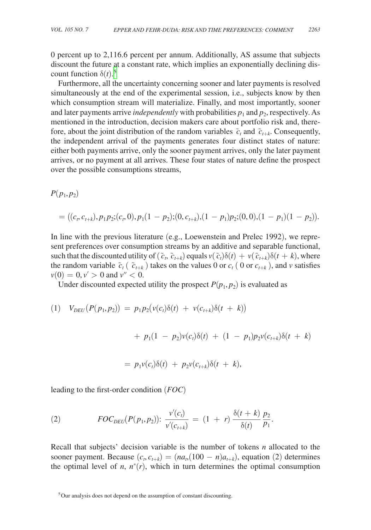0 percent up to 2,116.6 percent per annum. Additionally, AS assume that subjects discount the future at a constant rate, which implies an exponentially declining discount function  $\delta(t)$ .<sup>[5](#page-2-0)</sup>

Furthermore, all the uncertainty concerning sooner and later payments is resolved simultaneously at the end of the experimental session, i.e., subjects know by then which consumption stream will materialize. Finally, and most importantly, sooner and later payments arrive *independently* with probabilities  $p_1$  and  $p_2$ , respectively. As mentioned in the introduction, decision makers care about portfolio risk and, therefore, about the joint distribution of the random variables  $\tilde{c}_t$  and  $\tilde{c}_{t+k}$ . Consequently, the independent arrival of the payments generates four distinct states of nature: either both payments arrive, only the sooner payment arrives, only the later payment arrives, or no payment at all arrives. These four states of nature define the prospect over the possible consumptions streams,

 $P(p_1, p_2)$ 

$$
= ((ct, ct+k), p1p2; (ct, 0), p1(1 - p2); (0, ct+k), (1 - p1)p2; (0, 0), (1 - p1)(1 - p2)).
$$

In line with the previous literature (e.g., Loewenstein and Prelec 1992), we represent preferences over consumption streams by an additive and separable functional, such that the discounted utility of  $(\tilde{c}_t, \tilde{c}_{t+k})$  equals  $v(\tilde{c}_t)\delta(t) + v(\tilde{c}_{t+k})\delta(t+k)$ , where the random variable  $\tilde{c}_t$  ( $\tilde{c}_{t+k}$ ) takes on the values 0 or  $c_t$  (0 or  $c_{t+k}$ ), and *v* satisfies  $v(0) = 0, v' > 0$  and  $v'' < 0$ .

Under discounted expected utility the prospect  $P(p_1, p_2)$  is evaluated as

(1) 
$$
V_{DEU}(P(p_1, p_2)) = p_1 p_2(v(c_t) \delta(t) + v(c_{t+k}) \delta(t + k))
$$

$$
+ p_1(1 - p_2)v(c_t)\delta(t) + (1 - p_1)p_2v(c_{t+k})\delta(t + k)
$$

$$
= p_1 v(c_t)\delta(t) + p_2 v(c_{t+k})\delta(t + k),
$$

leading to the first-order condition (*FOC*)

(2) 
$$
FOC_{DEU}(P(p_1, p_2)) \colon \frac{v'(c_t)}{v'(c_{t+k})} = (1 + r) \frac{\delta(t+k)}{\delta(t)} \frac{p_2}{p_1}.
$$

Recall that subjects' decision variable is the number of tokens *n* allocated to the sooner payment. Because  $(c_t, c_{t+k}) = (na_t(100 - n)a_{t+k})$ , equation (2) determines the optimal level of *n*,  $n^*(r)$ , which in turn determines the optimal consumption

<span id="page-2-0"></span><sup>5</sup>Our analysis does not depend on the assumption of constant discounting.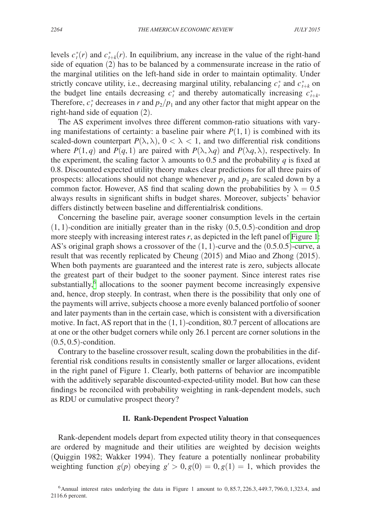levels  $c_t^*(r)$  and  $c_{t+k}^*(r)$ . In equilibrium, any increase in the value of the right-hand side of equation (2) has to be balanced by a commensurate increase in the ratio of the marginal utilities on the left-hand side in order to maintain optimality. Under strictly concave utility, i.e., decreasing marginal utility, rebalancing  $c_t^*$  and  $c_{t+k}^*$  on the budget line entails decreasing  $c_t^*$  and thereby automatically increasing  $c_{t+k}^*$ . Therefore,  $c_t^*$  decreases in *r* and  $p_2/p_1$  and any other factor that might appear on the right-hand side of equation (2).

The AS experiment involves three different common-ratio situations with varying manifestations of certainty: a baseline pair where  $P(1, 1)$  is combined with its scaled-down counterpart  $P(\lambda, \lambda)$ ,  $0 < \lambda < 1$ , and two differential risk conditions where  $P(1, q)$  and  $P(q, 1)$  are paired with  $P(\lambda, \lambda q)$  and  $P(\lambda q, \lambda)$ , respectively. In the experiment, the scaling factor  $\lambda$  amounts to 0.5 and the probability *q* is fixed at 0.8. Discounted expected utility theory makes clear predictions for all three pairs of prospects: allocations should not change whenever  $p_1$  and  $p_2$  are scaled down by a common factor. However, AS find that scaling down the probabilities by  $\lambda = 0.5$ always results in significant shifts in budget shares. Moreover, subjects' behavior differs distinctly between baseline and differentialrisk conditions.

Concerning the baseline pair, average sooner consumption levels in the certain  $(1, 1)$ -condition are initially greater than in the risky  $(0.5, 0.5)$ -condition and drop more steeply with increasing interest rates *r*, as depicted in the left panel of [Figure 1:](#page-4-0) AS's original graph shows a crossover of the  $(1, 1)$ -curve and the  $(0.5.0.5)$ -curve, a result that was recently replicated by Cheung (2015) and Miao and Zhong (2015). When both payments are guaranteed and the interest rate is zero, subjects allocate the greatest part of their budget to the sooner payment. Since interest rates rise substantially, $6$  allocations to the sooner payment become increasingly expensive and, hence, drop steeply. In contrast, when there is the possibility that only one of the payments will arrive, subjects choose a more evenly balanced portfolio of sooner and later payments than in the certain case, which is consistent with a diversification motive. In fact, AS report that in the  $(1, 1)$ -condition, 80.7 percent of allocations are at one or the other budget corners while only 26.1 percent are corner solutions in the  $(0.5, 0.5)$ -condition.

Contrary to the baseline crossover result, scaling down the probabilities in the differential risk conditions results in consistently smaller or larger allocations, evident in the right panel of Figure 1. Clearly, both patterns of behavior are incompatible with the additively separable discounted-expected-utility model. But how can these findings be reconciled with probability weighting in rank-dependent models, such as RDU or cumulative prospect theory?

### **II. Rank-Dependent Prospect Valuation**

Rank-dependent models depart from expected utility theory in that consequences are ordered by magnitude and their utilities are weighted by decision weights (Quiggin 1982; Wakker 1994). They feature a potentially nonlinear probability weighting function  $g(p)$  obeying  $g' > 0$ ,  $g(0) = 0$ ,  $g(1) = 1$ , which provides the

<span id="page-3-0"></span> $6$ Annual interest rates underlying the data in Figure 1 amount to 0,85.7, 226.3, 449.7, 796.0, 1,323.4, and 2116.6 percent.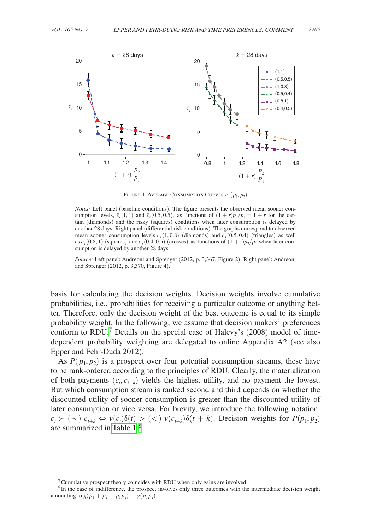<span id="page-4-0"></span>

Figure 1. Average Consumption Curves  $\vec{c}_t(p_1, p_2)$ 

*Notes:* Left panel (baseline conditions): The figure presents the observed mean sooner consumption levels,  $\overline{c}_t(1,1)$  and  $\overline{c}_t(0.5, 0.5)$ , as functions of  $(1 + r)p_2/p_1 = 1 + r$  for the certain (diamonds) and the risky (squares) conditions when later consumption is delayed by another 28 days. Right panel (differential risk conditions): The graphs correspond to observed mean sooner consumption levels  $\overline{c}_t(1, 0.8)$  (diamonds) and  $\overline{c}_t(0.5, 0.4)$  (triangles) as well as  $\overline{c}_t$ (0.8, 1) (squares) and  $\overline{c}_t$ (0.4, 0.5) (crosses) as functions of  $(1 + r)p_2/p_1$  when later consumption is delayed by another 28 days.

*Source:* Left panel: Andreoni and Sprenger (2012, p. 3,367, Figure 2). Right panel: Andreoni and Sprenger (2012, p. 3,370, Figure 4).

basis for calculating the decision weights. Decision weights involve cumulative probabilities, i.e., probabilities for receiving a particular outcome or anything better. Therefore, only the decision weight of the best outcome is equal to its simple probability weight. In the following, we assume that decision makers' preferences conform to RDU.<sup>7</sup> Details on the special case of Halevy's (2008) model of timedependent probability weighting are delegated to online Appendix A2 (see also Epper and Fehr-Duda 2012).

As  $P(p_1, p_2)$  is a prospect over four potential consumption streams, these have to be rank-ordered according to the principles of RDU. Clearly, the materialization of both payments  $(c_t, c_{t+k})$  yields the highest utility, and no payment the lowest. But which consumption stream is ranked second and third depends on whether the discounted utility of sooner consumption is greater than the discounted utility of later consumption or vice versa. For brevity, we introduce the following notation:  $c_t \succ (\prec)$   $c_{t+k} \Leftrightarrow v(c_t)\delta(t) > (\prec) v(c_{t+k})\delta(t+k)$ . Decision weights for  $P(p_1, p_2)$ are summarized in [Table 1.](#page-5-0)[8](#page-4-2)

<span id="page-4-2"></span><span id="page-4-1"></span> $7$ Cumulative prospect theory coincides with RDU when only gains are involved.

<sup>&</sup>lt;sup>8</sup> In the case of indifference, the prospect involves only three outcomes with the intermediate decision weight amounting to  $g(p_1 + p_2 - p_1 p_2) - g(p_1 p_2)$ .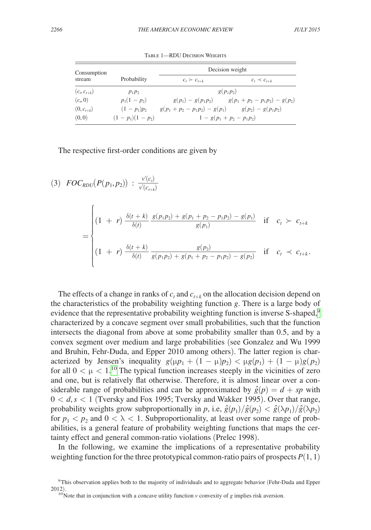<span id="page-5-0"></span>

| Consumption        |                  | Decision weight                                         |                                                       |
|--------------------|------------------|---------------------------------------------------------|-------------------------------------------------------|
| stream             | Probability      | $c_t \succ c_{t+k}$                                     | $c_t \prec c_{t+k}$                                   |
| $(c_{t}, c_{t+k})$ | $p_1p_2$         | $g(p_1p_2)$                                             |                                                       |
| $(c_{n},0)$        | $p_1(1-p_2)$     |                                                         | $g(p_1) - g(p_1p_2)$ $g(p_1 + p_2 - p_1p_2) - g(p_2)$ |
| $(0, c_{t+k})$     | $(1-p_1)p_2$     | $g(p_1 + p_2 - p_1 p_2) - g(p_1)$ $g(p_2) - g(p_1 p_2)$ |                                                       |
| (0, 0)             | $(1-p_1)(1-p_2)$ | $1 - g(p_1 + p_2 - p_1 p_2)$                            |                                                       |

TABLE 1—RDU DECISION WEIGHTS

The respective first-order conditions are given by

$$
(3) \quad FOC_{RDU}(P(p_1, p_2)) : \frac{v'(c_t)}{v'(c_{t+k})}
$$
\n
$$
= \begin{cases}\n(1 + r) \frac{\delta(t + k)}{\delta(t)} \frac{g(p_1 p_2) + g(p_1 + p_2 - p_1 p_2) - g(p_1)}{g(p_1)} & \text{if } c_t \succ c_{t+k} \\
(1 + r) \frac{\delta(t + k)}{\delta(t)} \frac{g(p_2)}{g(p_1 p_2) + g(p_1 + p_2 - p_1 p_2) - g(p_2)} & \text{if } c_t \prec c_{t+k}.\n\end{cases}
$$

The effects of a change in ranks of  $c_t$  and  $c_{t+k}$  on the allocation decision depend on the characteristics of the probability weighting function *g*. There is a large body of evidence that the representative probability weighting function is inverse S-shaped,<sup>[9](#page-5-1)</sup> characterized by a concave segment over small probabilities, such that the function intersects the diagonal from above at some probability smaller than 0.5, and by a convex segment over medium and large probabilities (see Gonzalez and Wu 1999 and Bruhin, Fehr-Duda, and Epper 2010 among others). The latter region is characterized by Jensen's inequality  $g(\mu p_1 + (1 - \mu)p_2) < \mu g(p_1) + (1 - \mu)g(p_2)$ for all  $0 < \mu < 1$ .<sup>10</sup> The typical function increases steeply in the vicinities of zero and one, but is relatively flat otherwise. Therefore, it is almost linear over a considerable range of probabilities and can be approximated by  $\hat{g}(p) = d + sp$  with 0 < *d*,*s* < 1 (Tversky and Fox 1995; Tversky and Wakker 1995). Over that range, probability weights grow subproportionally in *p*, i.e,  $\hat{g}(p_1)/\hat{g}(p_2) < \hat{g}(\lambda p_1)/\hat{g}(\lambda p_2)$ for  $p_1 < p_2$  and  $0 < \lambda < 1$ . Subproportionality, at least over some range of probabilities, is a general feature of probability weighting functions that maps the certainty effect and general common-ratio violations (Prelec 1998).

In the following, we examine the implications of a representative probability weighting function for the three prototypical common-ratio pairs of prospects  $P(1, 1)$ 

<span id="page-5-1"></span><sup>&</sup>lt;sup>9</sup>This observation applies both to the majority of individuals and to aggregate behavior (Fehr-Duda and Epper 2012).

<span id="page-5-2"></span><sup>&</sup>lt;sup>10</sup>Note that in conjunction with a concave utility function  $\nu$  convexity of *g* implies risk aversion.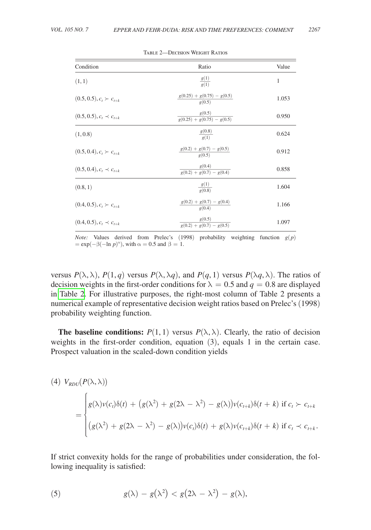| Condition                       | Ratio                                                                                  | Value |
|---------------------------------|----------------------------------------------------------------------------------------|-------|
| (1, 1)                          | $\frac{g(1)}{g(1)}$                                                                    | 1     |
| $(0.5, 0.5), c_t \succ c_{t+k}$ | $\frac{g(0.25) + g(0.75) - g(0.5)}{g(0.5)}$                                            | 1.053 |
| $(0.5, 0.5), c_t \prec c_{t+k}$ | $\frac{g(0.5)}{g(0.25) + g(0.75) - g(0.5)}$                                            | 0.950 |
| (1, 0.8)                        | $\frac{g(0.8)}{g(1)}$                                                                  | 0.624 |
| $(0.5, 0.4), c_t \succ c_{t+k}$ | $\frac{g(0.2) + g(0.7) - g(0.5)}{g(0.5)}$                                              | 0.912 |
| $(0.5, 0.4), c_t \prec c_{t+k}$ | $\frac{g(0.4)}{g(0.2) + g(0.7) - g(0.4)}$                                              | 0.858 |
| (0.8, 1)                        | $\frac{g(1)}{g(0.8)}$                                                                  | 1.604 |
| $(0.4, 0.5), c_t \succ c_{t+k}$ | $\frac{g(0.2) + g(0.7) - g(0.4)}{g(0.4)}$                                              | 1.166 |
| $(0.4, 0.5), c_t \prec c_{t+k}$ | $\frac{g(0.5)}{g(0.2) + g(0.7) - g(0.5)}$                                              | 1.097 |
|                                 | <i>Note:</i> Values derived from Prelec's (1998) probability weighting function $g(p)$ |       |

Table 2—Decision Weight Ratios

 $= \exp(-\beta(-\ln p)^{\alpha})$ , with  $\alpha = 0.5$  and  $\beta = 1$ .

versus  $P(\lambda, \lambda)$ ,  $P(1, q)$  versus  $P(\lambda, \lambda q)$ , and  $P(q, 1)$  versus  $P(\lambda q, \lambda)$ . The ratios of decision weights in the first-order conditions for  $\lambda = 0.5$  and  $q = 0.8$  are displayed in Table 2. For illustrative purposes, the right-most column of Table 2 presents a numerical example of representative decision weight ratios based on Prelec's (1998) probability weighting function.

**The baseline conditions:**  $P(1, 1)$  versus  $P(\lambda, \lambda)$ . Clearly, the ratio of decision weights in the first-order condition, equation (3), equals 1 in the certain case. Prospect valuation in the scaled-down condition yields

(4) 
$$
V_{RDU}(P(\lambda, \lambda))
$$
  
\n=  
\n
$$
\begin{cases}\ng(\lambda)v(c_t)\delta(t) + (g(\lambda^2) + g(2\lambda - \lambda^2) - g(\lambda))v(c_{t+k})\delta(t+k) & \text{if } c_t > c_{t+k} \\
(g(\lambda^2) + g(2\lambda - \lambda^2) - g(\lambda))v(c_t)\delta(t) + g(\lambda)v(c_{t+k})\delta(t+k) & \text{if } c_t < c_{t+k}.\n\end{cases}
$$

If strict convexity holds for the range of probabilities under consideration, the following inequality is satisfied:

(5) 
$$
g(\lambda) - g(\lambda^2) < g(2\lambda - \lambda^2) - g(\lambda),
$$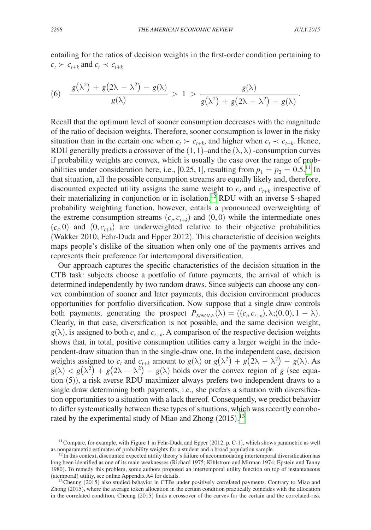entailing for the ratios of decision weights in the first-order condition pertaining to  $c_t$  ≻  $c_{t+k}$  and  $c_t$   $\prec$   $c_{t+k}$ 

$$
c_{t} > c_{t+k} \text{ and } c_{t} \prec c_{t+k}
$$
\n
$$
(6) \quad \frac{g(\lambda^{2}) + g(2\lambda - \lambda^{2}) - g(\lambda)}{g(\lambda)} > 1 > \frac{g(\lambda)}{g(\lambda^{2}) + g(2\lambda - \lambda^{2}) - g(\lambda)}.
$$

Recall that the optimum level of sooner consumption decreases with the magnitude of the ratio of decision weights. Therefore, sooner consumption is lower in the risky situation than in the certain one when  $c_t > c_{t+k}$ , and higher when  $c_t \prec c_{t+k}$ . Hence, RDU generally predicts a crossover of the  $(1, 1)$ –and the  $(\lambda, \lambda)$  -consumption curves if probability weights are convex, which is usually the case over the range of probabilities under consideration here, i.e., [0.25, 1], resulting from  $p_1 = p_2 = 0.5$ .<sup>11</sup> In that situation, all the possible consumption streams are equally likely and, therefore, discounted expected utility assigns the same weight to  $c_t$  and  $c_{t+k}$  irrespective of their materializing in conjunction or in isolation.[12](#page-7-1) RDU with an inverse S-shaped probability weighting function, however, entails a pronounced overweighting of the extreme consumption streams  $(c_t, c_{t+k})$  and  $(0, 0)$  while the intermediate ones  $(c_t, 0)$  and  $(0, c_{t+k})$  are underweighted relative to their objective probabilities (Wakker 2010; Fehr-Duda and Epper 2012). This characteristic of decision weights maps people's dislike of the situation when only one of the payments arrives and represents their preference for intertemporal diversification.

Our approach captures the specific characteristics of the decision situation in the CTB task: subjects choose a portfolio of future payments, the arrival of which is determined independently by two random draws. Since subjects can choose any convex combination of sooner and later payments, this decision environment produces opportunities for portfolio diversification. Now suppose that a single draw controls both payments, generating the prospect  $P_{\text{SINGLE}}(\lambda) = ((c_i, c_{t+k}), \lambda; (0, 0), 1 - \lambda)$ . Clearly, in that case, diversification is not possible, and the same decision weight,  $g(\lambda)$ , is assigned to both  $c_t$  and  $c_{t+k}$ . A comparison of the respective decision weights shows that, in total, positive consumption utilities carry a larger weight in the independent-draw situation than in the single-draw one. In the independent case, decision weights assigned to  $c_t$  and  $c_{t+k}$  amount to  $g(\lambda)$  or  $g(\lambda^2) + g(2\lambda - \lambda^2) - g(\lambda)$ . As  $g(\lambda) < g(\lambda^2) + g(2\lambda - \lambda^2) - g(\lambda)$  holds over the convex region of *g* (see equation (5)), a risk averse RDU maximizer always prefers two independent draws to a single draw determining both payments, i.e., she prefers a situation with diversification opportunities to a situation with a lack thereof. Consequently, we predict behavior to differ systematically between these types of situations, which was recently corrobo-rated by the experimental study of Miao and Zhong (2015).<sup>[13](#page-7-2)</sup>

<span id="page-7-0"></span><sup>&</sup>lt;sup>11</sup> Compare, for example, with Figure 1 in Fehr-Duda and Epper (2012, p. C-1), which shows parametric as well as nonparametric estimates of probability weights for a student and a broad population sample.

<span id="page-7-1"></span> $12\overline{\text{In}}$  this context, discounted expected utility theory's failure of accommodating intertemporal diversification has long been identified as one of its main weaknesses (Richard 1975; Kihlstrom and Mirman 1974; Epstein and Tanny 1980). To remedy this problem, some authors proposed an intertemporal utility function on top of instantaneous

<span id="page-7-2"></span> $13$  Cheung (2015) also studied behavior in CTBs under positively correlated payments. Contrary to Miao and Zhong (2015), where the average token allocation in the certain condition practically coincides with the allocation in the correlated condition, Cheung (2015) finds a crossover of the curves for the certain and the correlated-risk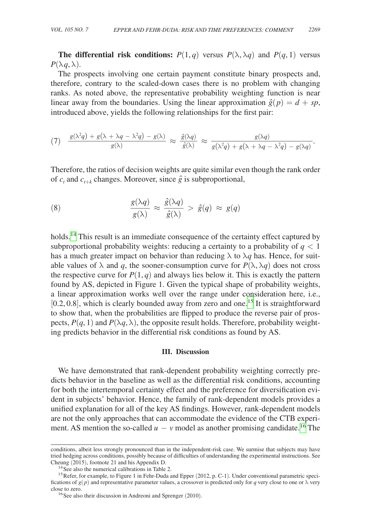**The differential risk conditions:**  $P(1, q)$  versus  $P(\lambda, \lambda q)$  and  $P(q, 1)$  versus  $P(\lambda q, \lambda)$ .

The prospects involving one certain payment constitute binary prospects and, therefore, contrary to the scaled-down cases there is no problem with changing ranks. As noted above, the representative probability weighting function is near linear away from the boundaries. Using the linear approximation  $\hat{g}(p) = d + sp$ ,

introduced above, yields the following relationships for the first pair:  
\n(7) 
$$
\frac{g(\lambda^2 q) + g(\lambda + \lambda q - \lambda^2 q) - g(\lambda)}{g(\lambda)} \approx \frac{\hat{g}(\lambda q)}{\hat{g}(\lambda)} \approx \frac{g(\lambda q)}{g(\lambda^2 q) + g(\lambda + \lambda q - \lambda^2 q) - g(\lambda q)}
$$

Therefore, the ratios of decision weights are quite similar even though the rank order of  $c_t$  and  $c_{t+k}$  changes. Moreover, since  $\hat{g}$  is subproportional,

(8) 
$$
\frac{g(\lambda q)}{g(\lambda)} \approx \frac{\hat{g}(\lambda q)}{\hat{g}(\lambda)} > \hat{g}(q) \approx g(q)
$$

holds.<sup>14</sup> This result is an immediate consequence of the certainty effect captured by subproportional probability weights: reducing a certainty to a probability of  $q < 1$ has a much greater impact on behavior than reducing  $\lambda$  to  $\lambda q$  has. Hence, for suitable values of  $\lambda$  and *q*, the sooner-consumption curve for  $P(\lambda, \lambda q)$  does not cross the respective curve for  $P(1, q)$  and always lies below it. This is exactly the pattern found by AS, depicted in Figure 1. Given the typical shape of probability weights, a linear approximation works well over the range under consideration here, i.e.,  $[0.2, 0.8]$ , which is clearly bounded away from zero and one.<sup>15</sup> It is straightforward to show that, when the probabilities are flipped to produce the reverse pair of prospects,  $P(q, 1)$  and  $P(\lambda q, \lambda)$ , the opposite result holds. Therefore, probability weighting predicts behavior in the differential risk conditions as found by AS.

#### **III. Discussion**

We have demonstrated that rank-dependent probability weighting correctly predicts behavior in the baseline as well as the differential risk conditions, accounting for both the intertemporal certainty effect and the preference for diversification evident in subjects' behavior. Hence, the family of rank-dependent models provides a unified explanation for all of the key AS findings. However, rank-dependent models are not the only approaches that can accommodate the evidence of the CTB experiment. AS mention the so-called  $u - v$  model as another promising candidate.<sup>16</sup> The

conditions, albeit less strongly pronounced than in the independent-risk case. We surmise that subjects may have tried hedging across conditions, possibly because of difficulties of understanding the experimental instructions. See Cheung (2015), footnote 21 and his Appendix D.<br><sup>14</sup>See also the numerical calibrations in Table 2.<br><sup>15</sup>Refer, for example, to Figure 1 in Fehr-Duda and Epper (2012, p. C-1). Under conventional parametric speci-

<span id="page-8-1"></span><span id="page-8-0"></span>

fications of  $g(p)$  and representative parameter values, a crossover is predicted only for *q* very close to one or  $\lambda$  very close to zero.

<span id="page-8-2"></span> $16$  See also their discussion in Andreoni and Sprenger (2010).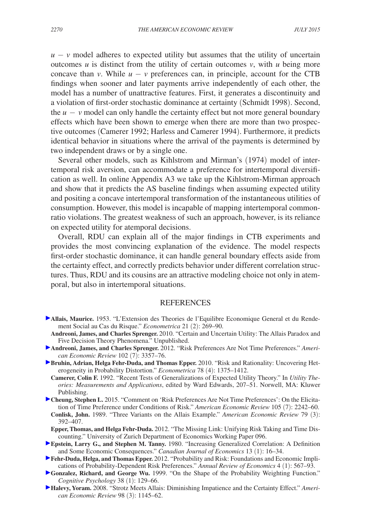$u - v$  model adheres to expected utility but assumes that the utility of uncertain outcomes  $u$  is distinct from the utility of certain outcomes  $v$ , with  $u$  being more concave than *v*. While  $u - v$  preferences can, in principle, account for the CTB findings when sooner and later payments arrive independently of each other, the model has a number of unattractive features. First, it generates a discontinuity and a violation of first-order stochastic dominance at certainty (Schmidt 1998). Second, the  $u - v$  model can only handle the certainty effect but not more general boundary effects which have been shown to emerge when there are more than two prospective outcomes (Camerer 1992; Harless and Camerer 1994). Furthermore, it predicts identical behavior in situations where the arrival of the payments is determined by two independent draws or by a single one.

Several other models, such as Kihlstrom and Mirman's (1974) model of intertemporal risk aversion, can accommodate a preference for intertemporal diversification as well. In online Appendix A3 we take up the Kihlstrom-Mirman approach and show that it predicts the AS baseline findings when assuming expected utility and positing a concave intertemporal transformation of the instantaneous utilities of consumption. However, this model is incapable of mapping intertemporal commonratio violations. The greatest weakness of such an approach, however, is its reliance on expected utility for atemporal decisions.

Overall, RDU can explain all of the major findings in CTB experiments and provides the most convincing explanation of the evidence. The model respects first-order stochastic dominance, it can handle general boundary effects aside from the certainty effect, and correctly predicts behavior under different correlation structures. Thus, RDU and its cousins are an attractive modeling choice not only in atemporal, but also in intertemporal situations.

# **REFERENCES**

- **Allais, Maurice.** 1953. "L'Extension des Theories de l'Equilibre Economique General et du Rendement Social au Cas du Risque." *Econometrica* 21 (2): 269–90.
- **Andreoni, James, and Charles Sprenger.** 2010. "Certain and Uncertain Utility: The Allais Paradox and Five Decision Theory Phenomena." Unpublished.
- **Andreoni, James, and Charles Sprenger.** 2012. "Risk Preferences Are Not Time Preferences." *American Economic Review* 102 (7): 3357–76.
- **Bruhin, Adrian, Helga Fehr-Duda, and Thomas Epper.** 2010. "Risk and Rationality: Uncovering Heterogeneity in Probability Distortion." *Econometrica* 78 (4): 1375–1412.
	- **Camerer, Colin F.** 1992. "Recent Tests of Generalizations of Expected Utility Theory." In *Utility Theories: Measurements and Applications*, edited by Ward Edwards, 207–51. Norwell, MA: Kluwer Publishing.
- **Cheung, Stephen L.** 2015. "Comment on 'Risk Preferences Are Not Time Preferences': On the Elicitation of Time Preference under Conditions of Risk." *American Economic Review* 105 (7): 2242–60. **Conlisk, John.** 1989. "Three Variants on the Allais Example." *American Economic Review* 79 (3): 392–407.
- **Epper, Thomas, and Helga Fehr-Duda.** 2012. "The Missing Link: Unifying Risk Taking and Time Discounting." University of Zurich Department of Economics Working Paper 096.
- **Epstein, Larry G., and Stephen M. Tanny.** 1980. "Increasing Generalized Correlation: A Definition and Some Economic Consequences." *Canadian Journal of Economics* 13 (1): 16–34.
- **Fehr-Duda, Helga, and Thomas Epper.** 2012. "Probability and Risk: Foundations and Economic Implications of Probability-Dependent Risk Preferences." *Annual Review of Economics* 4 (1): 567–93.
- **Gonzalez, Richard, and George Wu.** 1999. "On the Shape of the Probability Weighting Function." *Cognitive Psychology* 38 (1): 129–66.
- **Halevy, Yoram.** 2008. "Strotz Meets Allais: Diminishing Impatience and the Certainty Effect." *American Economic Review* 98 (3): 1145–62.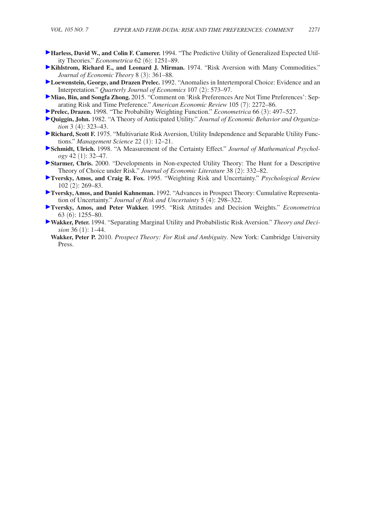- **Harless, David W., and Colin F. Camerer.** 1994. "The Predictive Utility of Generalized Expected Utility Theories." *Econometrica* 62 (6): 1251–89.
- **Kihlstrom, Richard E., and Leonard J. Mirman.** 1974. "Risk Aversion with Many Commodities." *Journal of Economic Theory* 8 (3): 361–88.
- **Loewenstein, George, and Drazen Prelec.** 1992. "Anomalies in Intertemporal Choice: Evidence and an Interpretation." *Quarterly Journal of Economics* 107 (2): 573–97.
- **Miao, Bin, and Songfa Zhong.** 2015. "Comment on 'Risk Preferences Are Not Time Preferences': Separating Risk and Time Preference." *American Economic Review* 105 (7): 2272–86.
- **Prelec, Drazen.** 1998. "The Probability Weighting Function." *Econometrica* 66 (3): 497–527.
- **Quiggin, John.** 1982. "A Theory of Anticipated Utility." *Journal of Economic Behavior and Organization* 3 (4): 323–43.
- **Richard, Scott F. 1975. "Multivariate Risk Aversion, Utility Independence and Separable Utility Func**tions." *Management Science* 22 (1): 12–21.
- **Schmidt, Ulrich.** 1998. "A Measurement of the Certainty Effect." *Journal of Mathematical Psychology* 42 (1): 32–47.
- **Starmer, Chris.** 2000. "Developments in Non-expected Utility Theory: The Hunt for a Descriptive Theory of Choice under Risk." *Journal of Economic Literature* 38 (2): 332–82.
- **Tversky, Amos, and Craig R. Fox.** 1995. "Weighting Risk and Uncertainty." *Psychological Review* 102 (2): 269–83.
- **Tversky, Amos, and Daniel Kahneman.** 1992. "Advances in Prospect Theory: Cumulative Representation of Uncertainty." *Journal of Risk and Uncertainty* 5 (4): 298–322.
- **Tversky, Amos, and Peter Wakker.** 1995. "Risk Attitudes and Decision Weights." *Econometrica* 63 (6): 1255–80.
- **Wakker, Peter.** 1994. "Separating Marginal Utility and Probabilistic Risk Aversion." *Theory and Decision* 36 (1): 1–44.
	- **Wakker, Peter P.** 2010. *Prospect Theory: For Risk and Ambiguity*. New York: Cambridge University Press.